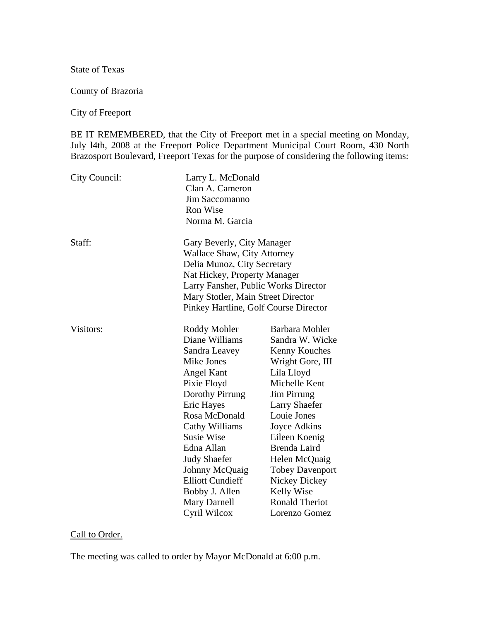State of Texas

County of Brazoria

City of Freeport

BE IT REMEMBERED, that the City of Freeport met in a special meeting on Monday, July l4th, 2008 at the Freeport Police Department Municipal Court Room, 430 North Brazosport Boulevard, Freeport Texas for the purpose of considering the following items:

| City Council: | Larry L. McDonald<br>Clan A. Cameron<br>Jim Saccomanno<br><b>Ron Wise</b><br>Norma M. Garcia                                                                                                                                                                                                                            |                                                                                                                                                                                                                                                                                                                                                |
|---------------|-------------------------------------------------------------------------------------------------------------------------------------------------------------------------------------------------------------------------------------------------------------------------------------------------------------------------|------------------------------------------------------------------------------------------------------------------------------------------------------------------------------------------------------------------------------------------------------------------------------------------------------------------------------------------------|
| Staff:        | Gary Beverly, City Manager<br><b>Wallace Shaw, City Attorney</b><br>Delia Munoz, City Secretary<br>Nat Hickey, Property Manager<br>Larry Fansher, Public Works Director<br>Mary Stotler, Main Street Director<br>Pinkey Hartline, Golf Course Director                                                                  |                                                                                                                                                                                                                                                                                                                                                |
| Visitors:     | Roddy Mohler<br>Diane Williams<br>Sandra Leavey<br>Mike Jones<br>Angel Kant<br>Pixie Floyd<br>Dorothy Pirrung<br>Eric Hayes<br>Rosa McDonald<br>Cathy Williams<br><b>Susie Wise</b><br>Edna Allan<br><b>Judy Shaefer</b><br>Johnny McQuaig<br><b>Elliott Cundieff</b><br>Bobby J. Allen<br>Mary Darnell<br>Cyril Wilcox | Barbara Mohler<br>Sandra W. Wicke<br>Kenny Kouches<br>Wright Gore, III<br>Lila Lloyd<br>Michelle Kent<br><b>Jim Pirrung</b><br><b>Larry Shaefer</b><br>Louie Jones<br>Joyce Adkins<br>Eileen Koenig<br>Brenda Laird<br>Helen McQuaig<br><b>Tobey Davenport</b><br>Nickey Dickey<br><b>Kelly Wise</b><br><b>Ronald Theriot</b><br>Lorenzo Gomez |

# Call to Order.

The meeting was called to order by Mayor McDonald at 6:00 p.m.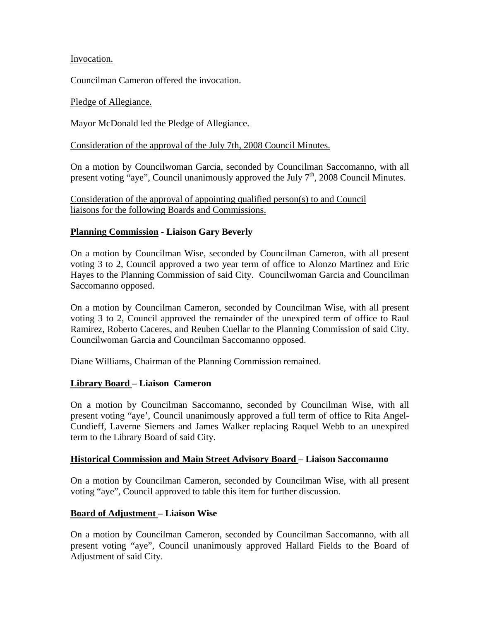Invocation.

Councilman Cameron offered the invocation.

#### Pledge of Allegiance.

Mayor McDonald led the Pledge of Allegiance.

#### Consideration of the approval of the July 7th, 2008 Council Minutes.

On a motion by Councilwoman Garcia, seconded by Councilman Saccomanno, with all present voting "aye", Council unanimously approved the July  $7<sup>th</sup>$ , 2008 Council Minutes.

Consideration of the approval of appointing qualified person(s) to and Council liaisons for the following Boards and Commissions.

# **Planning Commission - Liaison Gary Beverly**

On a motion by Councilman Wise, seconded by Councilman Cameron, with all present voting 3 to 2, Council approved a two year term of office to Alonzo Martinez and Eric Hayes to the Planning Commission of said City. Councilwoman Garcia and Councilman Saccomanno opposed.

On a motion by Councilman Cameron, seconded by Councilman Wise, with all present voting 3 to 2, Council approved the remainder of the unexpired term of office to Raul Ramirez, Roberto Caceres, and Reuben Cuellar to the Planning Commission of said City. Councilwoman Garcia and Councilman Saccomanno opposed.

Diane Williams, Chairman of the Planning Commission remained.

# **Library Board – Liaison Cameron**

On a motion by Councilman Saccomanno, seconded by Councilman Wise, with all present voting "aye', Council unanimously approved a full term of office to Rita Angel-Cundieff, Laverne Siemers and James Walker replacing Raquel Webb to an unexpired term to the Library Board of said City.

#### **Historical Commission and Main Street Advisory Board** – **Liaison Saccomanno**

On a motion by Councilman Cameron, seconded by Councilman Wise, with all present voting "aye", Council approved to table this item for further discussion.

# **Board of Adjustment – Liaison Wise**

On a motion by Councilman Cameron, seconded by Councilman Saccomanno, with all present voting "aye", Council unanimously approved Hallard Fields to the Board of Adjustment of said City.